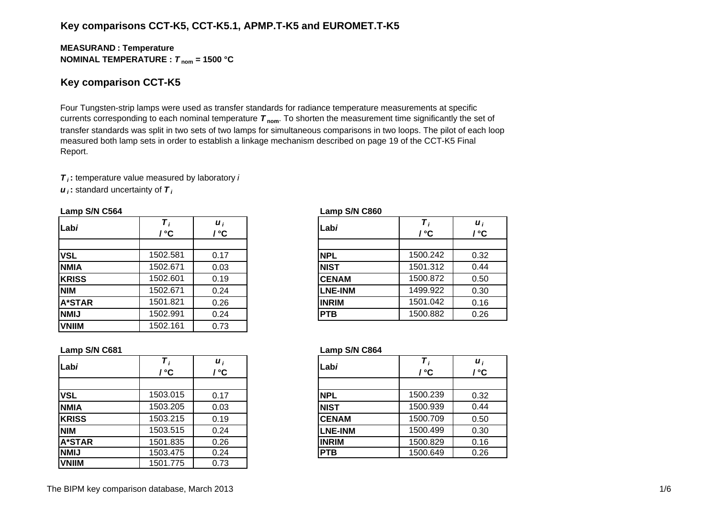## **Key comparisons CCT-K5, CCT-K5.1, APMP.T-K5 and EUROMET.T-K5**

#### **MEASURAN D : Temperature NOMINAL TEMPERATURE :**  *T* **nom = 1500 °C**

## **Key comparison CCT-K5**

Four Tungsten-strip lamps were used as transfer standards for radiance temperature measurements at specific currents corresponding to each nominal temperature *T* **nom**. To shorten the measurement time significantly the set of transfer standards was split in two sets of two lamps for simultaneous comparisons in two loops. The pilot of each loop measured both lamp sets in order to establish a linkage mechanism described on page 19 of the CCT-K5 Final Report.

*T i* **:** temperature value measured by laboratory *i u i* **:** standard uncertainty of *T i*

#### **Lamp S/N C564 Lamp S/N C860**

| Labi          | / °C     | $\boldsymbol{u}_i$<br>/ °C | Labi           | / °C     | $\boldsymbol{u}_i$<br>/ °C |
|---------------|----------|----------------------------|----------------|----------|----------------------------|
|               |          |                            |                |          |                            |
| <b>VSL</b>    | 1502.581 | 0.17                       | <b>NPL</b>     | 1500.242 | 0.32                       |
| <b>NMIA</b>   | 1502.671 | 0.03                       | <b>NIST</b>    | 1501.312 | 0.44                       |
| <b>KRISS</b>  | 1502.601 | 0.19                       | <b>CENAM</b>   | 1500.872 | 0.50                       |
| <b>NIM</b>    | 1502.671 | 0.24                       | <b>LNE-INM</b> | 1499.922 | 0.30                       |
| <b>A*STAR</b> | 1501.821 | 0.26                       | <b>INRIM</b>   | 1501.042 | 0.16                       |
| <b>NMIJ</b>   | 1502.991 | 0.24                       | <b>PTB</b>     | 1500.882 | 0.26                       |
| <b>VNIIM</b>  | 1502.161 | 0.73                       |                |          |                            |

| i<br>C         | Labi           | Τ,<br>/ °C | $\boldsymbol{u}_i$<br>/ °C |
|----------------|----------------|------------|----------------------------|
|                |                |            |                            |
| 17             | <b>NPL</b>     | 1500.242   | 0.32                       |
| $\overline{5}$ | <b>NIST</b>    | 1501.312   | 0.44                       |
| 19             | <b>CENAM</b>   | 1500.872   | 0.50                       |
| 24             | <b>LNE-INM</b> | 1499.922   | 0.30                       |
| 26             | <b>INRIM</b>   | 1501.042   | 0.16                       |
| 24             | <b>PTB</b>     | 1500.882   | 0.26                       |
|                |                |            |                            |

#### **Lamp S/N C681 Lamp S/N C864**

|            | $^{\circ}$ C | $\boldsymbol{u}$<br>°C | Labi           | ' °C     | $\boldsymbol{u}_i$<br>/ °C |
|------------|--------------|------------------------|----------------|----------|----------------------------|
|            |              |                        |                |          |                            |
|            | 1503.015     | 0.17                   | <b>NPL</b>     | 1500.239 | 0.32                       |
| А          | 1503.205     | 0.03                   | <b>NIST</b>    | 1500.939 | 0.44                       |
| SS         | 1503.215     | 0.19                   | <b>CENAM</b>   | 1500.709 | 0.50                       |
|            | 1503.515     | 0.24                   | <b>LNE-INM</b> | 1500.499 | 0.30                       |
| <b>TAR</b> | 1501.835     | 0.26                   | <b>INRIM</b>   | 1500.829 | 0.16                       |
|            | 1503.475     | 0.24                   | <b>PTB</b>     | 1500.649 | 0.26                       |

| Labi          | $\tau_{i}$<br>' °C | $\boldsymbol{u}_i$<br>$^{\circ}$ C | Lab <i>i</i>   | / °C     | $\boldsymbol{u}_i$<br>/ °C |
|---------------|--------------------|------------------------------------|----------------|----------|----------------------------|
|               |                    |                                    |                |          |                            |
| <b>VSL</b>    | 1503.015           | 0.17                               | <b>NPL</b>     | 1500.239 | 0.32                       |
| <b>NMIA</b>   | 1503.205           | 0.03                               | <b>NIST</b>    | 1500.939 | 0.44                       |
| <b>KRISS</b>  | 1503.215           | 0.19                               | <b>CENAM</b>   | 1500.709 | 0.50                       |
| <b>NIM</b>    | 1503.515           | 0.24                               | <b>LNE-INM</b> | 1500.499 | 0.30                       |
| <b>A*STAR</b> | 1501.835           | 0.26                               | <b>IINRIM</b>  | 1500.829 | 0.16                       |
| <b>NMIJ</b>   | 1503.475           | 0.24                               | <b>PTB</b>     | 1500.649 | 0.26                       |
| <b>VNIIM</b>  | 1501.775           | 0.73                               |                |          |                            |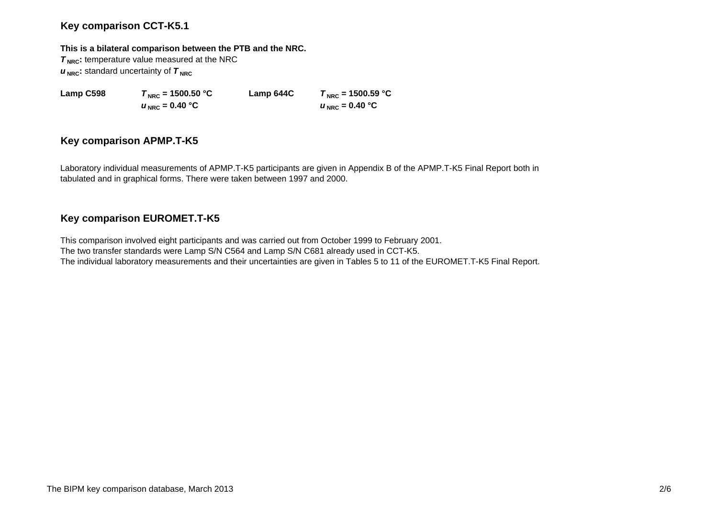## **Key comparison CCT-K5.1**

#### **This is a bilateral comparison between the PTB and the NRC.**

**T<sub>NRC</sub>**: temperature value measured at the NRC  $u_{\text{NRC}}$ : standard uncertainty of  $\tau_{\text{NRC}}$ 

 $u_{\text{NRC}} = 0.40 \text{ °C}$ 

**Lamp C598**  $T_{\text{NRC}} = 1500.50 \text{ °C}$  **Lamp 644C**  $T_{\text{NRC}} = 1500.59 \text{ °C}$  $U_{\text{NRC}} = 0.40 \degree C$ 

## **Key comparison APMP.T-K5**

Laboratory individual measurements of APMP.T-K5 participants are given in Appendix B of the APMP.T-K5 Final Report both in tabulated and in graphical forms. There were taken between 1997 and 2000.

## **Key comparison EUROMET.T-K5**

This comparison involved eight participants and was carried out from October 1999 to February 2001. The two transfer standards were Lamp S/N C564 and Lamp S/N C681 already used in CCT-K5. The individual laboratory measurements and their uncertainties are given in Tables 5 to 11 of the EUROMET.T-K5 Final Report.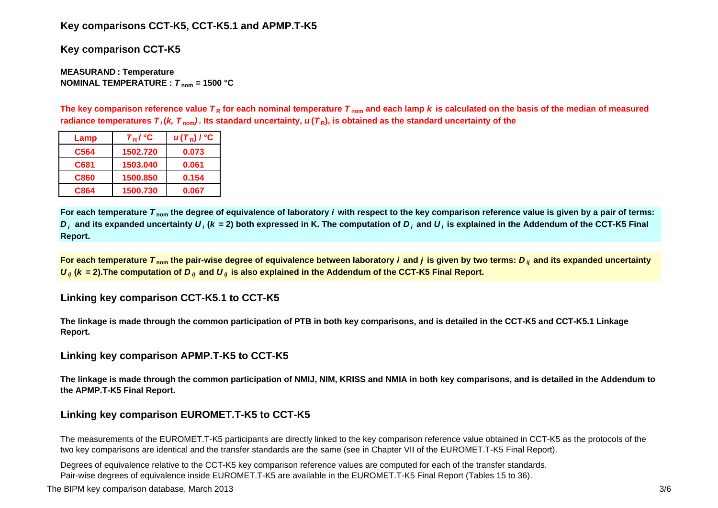## **Key comparisons CCT-K5, CCT-K5.1 and APMP.T-K5**

**Key comparison CCT-K5**

**MEASURAN D : Temperature NOMINAL TEMPERATURE :**  *T* **nom = 1500 °C**

The key comparison reference value  $\bm{\tau}_{\mathsf{R}}$  for each nominal temperature  $\bm{\tau}_{\mathsf{nom}}$  and each lamp  $\bm{k}$  is calculated on the basis of the median of measured radiance temperatures  $\bm{\tau}_i$ (*k, T*  $_{\rm nom}$ ). Its standard uncertainty,  $\bm{u}(\bm{\tau}_\text{R})$ , is obtained as the standard uncertainty of the

| Lamp | $T_R$ / $^{\circ}$ C | $u(T_R)$ / $^{\circ}$ C |
|------|----------------------|-------------------------|
| C564 | 1502.720             | 0.073                   |
| C681 | 1503.040             | 0.061                   |
| C860 | 1500.850             | 0.154                   |
| C864 | 1500.730             | 0.067                   |

**For each temperature**  *T* **nom the degree of equivalence of laboratory** *i* **with respect to the key comparison reference value is given by a pair of terms:**   $D_i$  and its expanded uncertainty  $U_i$  (k = 2) both expressed in K. The computation of  $D_i$  and  $U_i$  is explained in the Addendum of the CCT-K5 Final **Report.**

**For each temperature**  *T* **nom the pair-wise degree of equivalence between laboratory** *i* **and** *j* **is given by two terms:***<sup>D</sup> ij* **and its expanded uncertainty**   $U_{ij}$  ( $k$  = 2).The computation of  $D_{ij}$  and  $U_{ij}$  is also explained in the Addendum of the CCT-K5 Final Report.

**Linking key comparison CCT-K5.1 to CCT-K5**

**The linkage is made through the common participation of PTB in both key comparisons, and is detailed in the CCT-K5 and CCT-K5.1 Linkage Report.**

**Linking key comparison APMP.T-K5 to CCT-K5**

**The linkage is made through the common participation of NMIJ, NIM, KRISS and NMIA in both key comparisons, and is detailed in the Addendum to the APMP.T-K5 Final Report.**

# **Linking key comparison EUROMET.T-K5 to CCT-K5**

The measurements of the EUROMET.T-K5 participants are directly linked to the key comparison reference value obtained in CCT-K5 as the protocols of the two key comparisons are identical and the transfer standards are the same (see in Chapter VII of the EUROMET.T-K5 Final Report).

Degrees of equivalence relative to the CCT-K5 key comparison reference values are computed for each of the transfer standards. Pair-wise degrees of equivalence inside EUROMET.T-K5 are available in the EUROMET.T-K5 Final Report (Tables 15 to 36).

The BIPM key comparison database, March 2013 3/6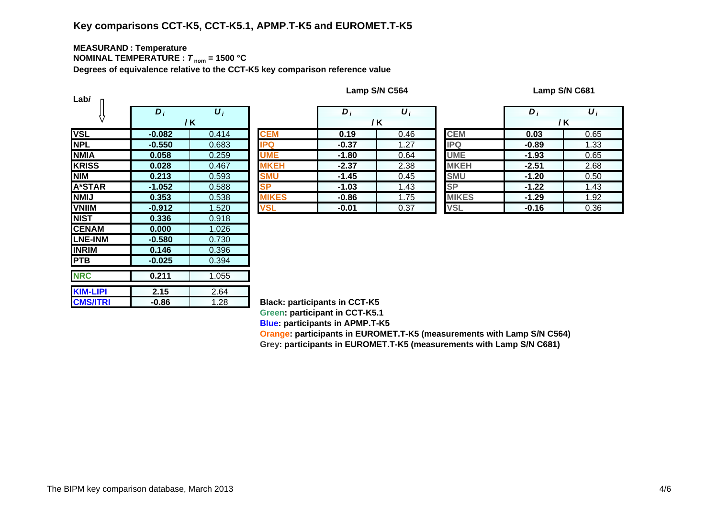# **Key comparisons CCT-K5, CCT-K5.1, APMP.T-K5 and EUROMET.T-K5**

#### **MEASURAN D : Temperature NOMINAL TEMPERATURE :**  *T* **nom = 1500 °C**

**Degrees of equivalence relative to the CCT-K5 key comparison reference value**

| Labi            |            |                       |               |  |  |  |  |  |  |  |
|-----------------|------------|-----------------------|---------------|--|--|--|--|--|--|--|
|                 | $\bm{D}_i$ | $\overline{\bm{U}}_i$ |               |  |  |  |  |  |  |  |
|                 |            | / K                   |               |  |  |  |  |  |  |  |
| <b>VSL</b>      | $-0.082$   | 0.414                 | <b>CEM</b>    |  |  |  |  |  |  |  |
| <b>NPL</b>      | $-0.550$   | 0.683                 | <b>IPQ</b>    |  |  |  |  |  |  |  |
| <b>NMIA</b>     | 0.058      | 0.259                 | <b>UME</b>    |  |  |  |  |  |  |  |
| <b>KRISS</b>    | 0.028      | 0.467                 | <b>MKEH</b>   |  |  |  |  |  |  |  |
| <b>NIM</b>      | 0.213      | 0.593                 | <b>SMU</b>    |  |  |  |  |  |  |  |
| A*STAR          | $-1.052$   | 0.588                 | <b>SP</b>     |  |  |  |  |  |  |  |
| <b>NMIJ</b>     | 0.353      | 0.538                 | <b>MIKES</b>  |  |  |  |  |  |  |  |
| <b>VNIIM</b>    | $-0.912$   | 1.520                 | <b>VSL</b>    |  |  |  |  |  |  |  |
| <b>NIST</b>     | 0.336      | 0.918                 |               |  |  |  |  |  |  |  |
| <b>CENAM</b>    | 0.000      | 1.026                 |               |  |  |  |  |  |  |  |
| <b>LNE-INM</b>  | $-0.580$   | 0.730                 |               |  |  |  |  |  |  |  |
| <b>INRIM</b>    | 0.146      | 0.396                 |               |  |  |  |  |  |  |  |
| <b>PTB</b>      | $-0.025$   | 0.394                 |               |  |  |  |  |  |  |  |
| <b>NRC</b>      | 0.211      | 1.055                 |               |  |  |  |  |  |  |  |
|                 |            |                       |               |  |  |  |  |  |  |  |
| <b>KIM-LIPI</b> | 2.15       | 2.64                  |               |  |  |  |  |  |  |  |
| <b>CMS/ITRI</b> | $-0.86$    | 1.28                  | <b>Black:</b> |  |  |  |  |  |  |  |

**Lamp S/N C564 Lamp S/N C681**

|                                          | $\bm{D}_i$ | $\boldsymbol{U}_i$ |              | $\bm{D}_i$ | $\boldsymbol{U}_i$ |              | D       | $\boldsymbol{U}_i$ |
|------------------------------------------|------------|--------------------|--------------|------------|--------------------|--------------|---------|--------------------|
|                                          |            | / K                |              |            | / K                |              | /K      |                    |
|                                          | $-0.082$   | 0.414              | <b>CEM</b>   | 0.19       | 0.46               | <b>CEM</b>   | 0.03    | 0.65               |
|                                          | $-0.550$   | 0.683              | <b>IPQ</b>   | $-0.37$    | 1.27               | <b>IPQ</b>   | $-0.89$ | 1.33               |
| А                                        | 0.058      | 0.259              | <b>UME</b>   | $-1.80$    | 0.64               | <b>UME</b>   | $-1.93$ | 0.65               |
| $\overline{\text{s}}\overline{\text{s}}$ | 0.028      | 0.467              | <b>MKEH</b>  | $-2.37$    | 2.38               | <b>MKEH</b>  | $-2.51$ | 2.68               |
|                                          | 0.213      | 0.593              | <b>SMU</b>   | $-1.45$    | 0.45               | <b>SMU</b>   | $-1.20$ | 0.50               |
| TAR                                      | $-1.052$   | 0.588              | <b>SP</b>    | $-1.03$    | 1.43               | <b>SP</b>    | $-1.22$ | 1.43               |
|                                          | 0.353      | 0.538              | <b>MIKES</b> | $-0.86$    | 1.75               | <b>MIKES</b> | $-1.29$ | 1.92               |
| M                                        | $-0.912$   | 1.520              | <b>VSL</b>   | $-0.01$    | 0.37               | <b>VSL</b>   | $-0.16$ | 0.36               |
|                                          | $- - - -$  | 0.010              |              |            |                    |              |         |                    |

|   | $D_i$   | $\boldsymbol{U}_i$ |              | D       | $\boldsymbol{U}_i$ |
|---|---------|--------------------|--------------|---------|--------------------|
|   |         | / K                |              |         | / K                |
|   | 0.19    | 0.46               | <b>CEM</b>   | 0.03    | 0.65               |
|   | $-0.37$ | 1.27               | <b>IPQ</b>   | $-0.89$ | 1.33               |
|   | $-1.80$ | 0.64               | <b>UME</b>   | $-1.93$ | 0.65               |
|   | $-2.37$ | 2.38               | <b>MKEH</b>  | $-2.51$ | 2.68               |
|   | $-1.45$ | 0.45               | <b>SMU</b>   | $-1.20$ | 0.50               |
|   | $-1.03$ | 1.43               | <b>SP</b>    | $-1.22$ | 1.43               |
| S | $-0.86$ | 1.75               | <b>MIKES</b> | $-1.29$ | 1.92               |
|   | $-0.01$ | 0.37               | <b>VSL</b>   | $-0.16$ | 0.36               |

**Black: participants in CCT-K5 Green: participant in CCT-K5.1 Blue: participants in APMP.T-K5**

**Oran g e: participants in EUROMET.T-K5 (measurements with Lamp S/N C564) Gre y: participants in EUROMET.T-K5 (measurements with Lamp S/N C681)**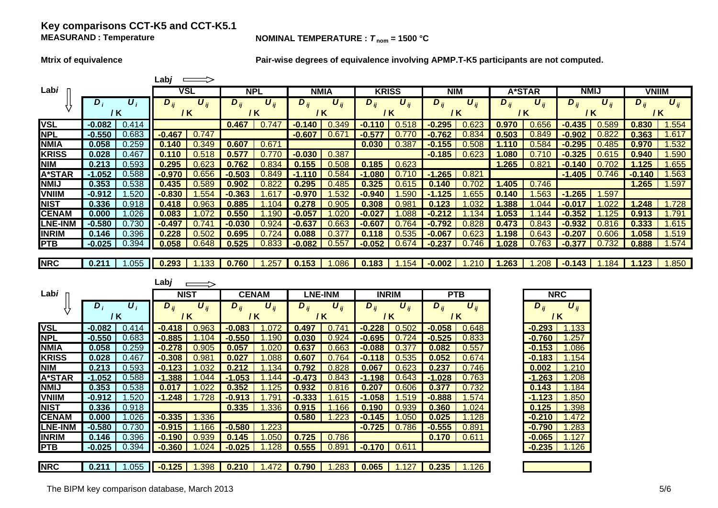### **Key comparisons CCT-K5 and CCT-K5.1 MEASURAND**

#### **NOMINAL TEMPERATURE :**  $T_{\text{nom}} = 1500 \text{ °C}$

**Mtrix of equivalence Pair-wise degrees of equivalence involving APMP.T-K5 participants are not computed.**

|                |          |                    | Lab <i>j</i> |                       |            |                       |            |                       |          |                       |          |                       |            |          |             |          |              |          |
|----------------|----------|--------------------|--------------|-----------------------|------------|-----------------------|------------|-----------------------|----------|-----------------------|----------|-----------------------|------------|----------|-------------|----------|--------------|----------|
| Labi           |          |                    |              | VSL                   | <b>NPL</b> |                       |            | <b>NMIA</b>           |          | <b>KRISS</b>          |          | <b>NIM</b>            |            | A*STAR   | <b>NMIJ</b> |          | <b>VNIIM</b> |          |
|                | $D_i$    | $\boldsymbol{U}_i$ | $D_{ii}$     | $\boldsymbol{U}_{ii}$ | $D_{ij}$   | $\boldsymbol{U}_{ij}$ | $D_{ij}$   | $\boldsymbol{U}_{ij}$ | $D_{ii}$ | $\boldsymbol{U}_{ij}$ | $D_{ij}$ | $\boldsymbol{U}_{ii}$ | $D_{ij}$   | $U_{ii}$ | $D_{ii}$    | $U_{ii}$ | $D_{ii}$     | $U_{ii}$ |
|                | 7 K      |                    | 7 K          |                       |            | / K                   |            | / K                   |          | / K                   |          | 7 K                   | / K        |          | / K         |          | / K          |          |
| <b>VSL</b>     | $-0.082$ | 0.414              |              |                       | 0.467      | .747                  | 140<br>-0. | 0.349                 |          | .518                  | .295     |                       | 0.970      | 0.656    | -0.435      | 0.589    | 0.830        | .554     |
| <b>NPL</b>     | -0.550   | 0.683              | $-0.467$     | 0.747                 |            |                       | $-0.607$   | 0.67                  | -0.57    |                       |          |                       | 0.503      |          |             |          | 0.363        | .617     |
| <b>NMIA</b>    | 0.058    | 0.259              | 0.140        | 0.349                 | 0.607      | $0.67^{\circ}$        |            |                       | 0.030    | 1.387                 | 155      |                       |            |          |             |          | 0.970        | .532     |
| <b>KRISS</b>   | 0.028    | 0.467              |              | $.5^{\circ}$          | 0.577      |                       | $-0.030$   | 0.387                 |          |                       | $-0.185$ |                       |            |          |             |          | 0.940        | .590     |
| <b>NIM</b>     | 0.213    | 0.593              | 0.295        | 0.623                 |            | .834                  | .155       | 0.508                 | 0.185    | 0.623                 |          |                       | .265       | 0.82     |             |          | 1.125        | .655     |
| <b>A*STAR</b>  | $-1.052$ | 0.588              | $-0.970$     | ).656                 | $-0.503$   | 0.849                 | -1         | 0.584                 | .080     |                       | .265     | 0.821                 |            |          | $-1.405$    | 0.746    | $-0.140$     | .563     |
| <b>NMIJ</b>    | 0.353    | 0.538              | 0.435        | ).589                 | 0.902      | 0.822                 | 0.295      | 0.485                 | 0.325    | J.61                  | 140      |                       | .405       | 0.746    |             |          | 1.265        | .597     |
| <b>VNIIM</b>   | -0.912   | 520. ا             | -0.830       | .554                  | .363       |                       | -0.970     | .532                  | -0.940   | .59                   |          | .655                  | <b>140</b> | .563     | .265        | .597     |              |          |
| <b>NIST</b>    | 0.336    | 0.918              | 0.418        | ).963                 | 0.885      |                       | 0.278      | 0.905                 | 0.308    | ).98                  | 23       |                       | .388       | 044      |             |          | .248         | .728     |
| <b>CENAM</b>   | 0.000    | .026               | 0.083        |                       | 0.550      |                       | -0.057     | 020                   | $-0.027$ |                       |          | 34                    | .053       | 44       | -0.352      | 25       | 0.913        | .791     |
| <b>LNE-INM</b> | $-0.580$ | 0.730              | -0.497       | 0.74                  | $-0.030$   | 0.924                 | $-0.637$   | 0.663                 | $-0.607$ | 0.764                 | -0.792   | 0.828                 | 0.473      | 0.843    | -0.932      | 0.816    | 0.333        | .615     |
| <b>INRIM</b>   | 0.146    | 0.396              | 0.228        | ).502                 | 0.695      |                       | 0.088      | 0.37                  | 0.118    | 0.535                 | $-0.067$ | 0.623                 | 198        | 0.643    | -0.207      | 0.606    | .058         | 1.519    |
| <b>PTB</b>     | $-0.025$ | 0.394              | 0.058        | 0.648                 | 0.525      | 0.833                 | $-0.082$   | 0.557                 | $-0.052$ | 0.674                 | $-0.237$ | 0.746                 | .028       | 0.763    | $-0.377$    | 0.732    | 0.888        | 1.574    |
|                |          |                    |              |                       |            |                       |            |                       |          |                       |          |                       |            |          |             |          |              |          |
| <b>NRC</b>     | 0.211    | 1.055              | 0.293        | 1.133                 | 0.760      | .257                  | 0.153      | 0.086                 | 0.183    | 1.154                 | $-0.002$ | .210                  | 1.263      | .208     | $-0.143$    | 1.184    | 1.123        | .850     |

|                |            |                           | Labj     |                              |                     |                              |          |                 |          |                 |          |                 |                 |          |
|----------------|------------|---------------------------|----------|------------------------------|---------------------|------------------------------|----------|-----------------|----------|-----------------|----------|-----------------|-----------------|----------|
| Labi           |            |                           |          | <b>NIST</b>                  |                     | <b>CENAM</b>                 |          | <b>LNE-INM</b>  |          | <b>INRIM</b>    |          | <b>PTB</b>      | <b>NRC</b>      |          |
|                | $\bm{D}_i$ | $\boldsymbol{U}_i$<br>/ K | $D_{ii}$ | $\boldsymbol{U}_{ii}$<br>/ K | $D_{ii}$            | $\boldsymbol{U}_{ij}$<br>/ K | $D_{ii}$ | $U_{ii}$<br>/ K | $D_{ij}$ | $U_{ii}$<br>/ K | $D_{ij}$ | $U_{ii}$<br>/ K | $D_{ij}$<br>/ K | $U_{ii}$ |
| <b>VSL</b>     | $-0.082$   | 0.414                     | $-0.418$ | 0.963                        | $-0.083$            | .072                         | 0.497    | 0.741           | $-0.228$ | 0.502           | $-0.058$ | 0.648           | $-0.293$        | 1.133    |
| <b>NPL</b>     | $-0.550$   | 0.683                     | $-0.885$ | 1.104                        | $-0.550$            | .190                         | 0.030    | 0.924           | $-0.695$ | 0.724           | $-0.525$ | 0.833           | $-0.760$        | 1.257    |
| <b>NMIA</b>    | 0.058      | 0.259                     | $-0.278$ | 0.905                        | 0.057               | .020                         | 0.637    | 0.663           | $-0.088$ | 0.377           | 0.082    | 0.557           | $-0.153$        | 1.086    |
| <b>KRISS</b>   | 0.028      | 0.467                     | $-0.308$ | 0.981                        | 0.027               | .088                         | 0.607    | 0.764           | $-0.118$ | 0.535           | 0.052    | 0.674           | $-0.183$        | 1.154    |
| <b>NIM</b>     | 0.213      | 0.593                     | $-0.123$ | 1.032                        | 0.212               | .134                         | 0.792    | 0.828           | 0.067    | 0.623           | 0.237    | 0.746           | 0.002           | 1.210    |
| <b>A*STAR</b>  | $-1.052$   | 0.588                     | $-1.388$ | 044. ا                       | $-1.053$            | .144                         | $-0.473$ | 0.843           | $-1.198$ | 0.643           | $-1.028$ | 0.763           | $-1.263$        | 1.208    |
| <b>NMIJ</b>    | 0.353      | 0.538                     | 0.017    | .022                         | 0.352               | .125                         | 0.932    | 0.816           | 0.207    | 0.606           | 0.377    | 0.732           | 0.143           | 1.184    |
| <b>VNIIM</b>   | $-0.912$   | .520                      | $-1.248$ | 1.728                        | $-0.913$            | .791                         | $-0.333$ | .615            | $-1.058$ | .519            | $-0.888$ | .574            | $-1.123$        | 1.850    |
| <b>NIST</b>    | 0.336      | 0.918                     |          |                              | 0.335               | .336                         | 0.915    | .166            | 0.190    | 0.939           | 0.360    | .024            | 0.125           | 1.398    |
| <b>CENAM</b>   | 0.000      | .026                      | $-0.335$ | 1.336                        |                     |                              | 0.580    | .223            | $-0.145$ | 1.050           | 0.025    | .128            | $-0.210$        | 1.472    |
| <b>LNE-INM</b> | $-0.580$   | 0.730                     | $-0.915$ | 1.166                        | $-0.580$            | .223                         |          |                 | $-0.725$ | 0.786           | $-0.555$ | 0.891           | $-0.790$        | .283     |
| <b>INRIM</b>   | 0.146      | 0.396                     | $-0.190$ | 0.939                        | 0.145               | .050                         | 0.725    | 0.786           |          |                 | 0.170    | 0.611           | $-0.065$        | 1.127    |
| <b>PTB</b>     | $-0.025$   | 0.394                     | $-0.360$ | 1.024                        | $-0.025$            | .128                         | 0.555    | 0.891           | $-0.170$ | 0.611           |          |                 | $-0.235$        | 1.126    |
|                |            |                           |          |                              |                     |                              |          |                 |          |                 |          |                 |                 |          |
| <b>NRC</b>     | 0.211      | $.055$ $\blacksquare$     | $-0.125$ |                              | $1.398$ 0.210 1.472 |                              | 0.790    | .283            | 0.065    | 1.127           | 0.235    | 1.126           |                 |          |

| <b>NRC</b>                |       |  |  |  |  |  |  |  |  |
|---------------------------|-------|--|--|--|--|--|--|--|--|
| $D_{ij}$<br>$\bm{U}_{ii}$ |       |  |  |  |  |  |  |  |  |
|                           | / K   |  |  |  |  |  |  |  |  |
| 0.293                     | 1.133 |  |  |  |  |  |  |  |  |
| 0.760                     | 1.257 |  |  |  |  |  |  |  |  |
| 0.153                     | 1.086 |  |  |  |  |  |  |  |  |
| 0.183                     | 1.154 |  |  |  |  |  |  |  |  |
| 0.002                     | 1.210 |  |  |  |  |  |  |  |  |
| $-1.263$                  | 1.208 |  |  |  |  |  |  |  |  |
| 0.143                     | 1.184 |  |  |  |  |  |  |  |  |
| $-1.123$                  | 1.850 |  |  |  |  |  |  |  |  |
| 0.125                     | 1.398 |  |  |  |  |  |  |  |  |
| 0.210                     | 1.472 |  |  |  |  |  |  |  |  |
| 0.790                     | 1.283 |  |  |  |  |  |  |  |  |
| 0.065                     | 1.127 |  |  |  |  |  |  |  |  |
| の 235                     | 1126  |  |  |  |  |  |  |  |  |